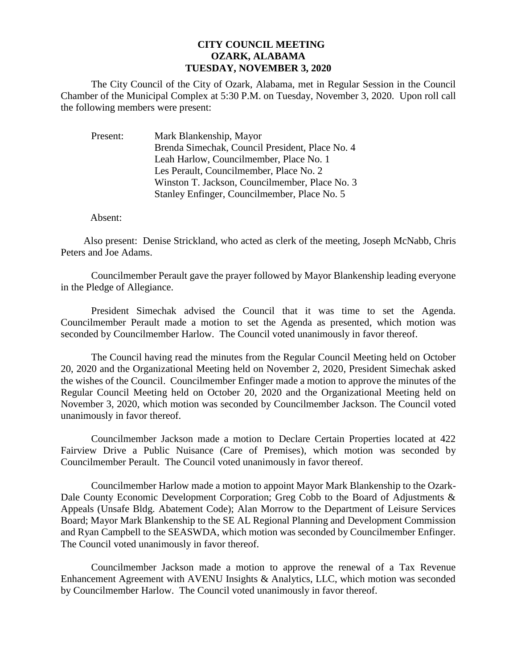## **CITY COUNCIL MEETING OZARK, ALABAMA TUESDAY, NOVEMBER 3, 2020**

The City Council of the City of Ozark, Alabama, met in Regular Session in the Council Chamber of the Municipal Complex at 5:30 P.M. on Tuesday, November 3, 2020. Upon roll call the following members were present:

Present: Mark Blankenship, Mayor Brenda Simechak, Council President, Place No. 4 Leah Harlow, Councilmember, Place No. 1 Les Perault, Councilmember, Place No. 2 Winston T. Jackson, Councilmember, Place No. 3 Stanley Enfinger, Councilmember, Place No. 5

Absent:

Also present: Denise Strickland, who acted as clerk of the meeting, Joseph McNabb, Chris Peters and Joe Adams.

Councilmember Perault gave the prayer followed by Mayor Blankenship leading everyone in the Pledge of Allegiance.

President Simechak advised the Council that it was time to set the Agenda. Councilmember Perault made a motion to set the Agenda as presented, which motion was seconded by Councilmember Harlow. The Council voted unanimously in favor thereof.

The Council having read the minutes from the Regular Council Meeting held on October 20, 2020 and the Organizational Meeting held on November 2, 2020, President Simechak asked the wishes of the Council. Councilmember Enfinger made a motion to approve the minutes of the Regular Council Meeting held on October 20, 2020 and the Organizational Meeting held on November 3, 2020, which motion was seconded by Councilmember Jackson. The Council voted unanimously in favor thereof.

Councilmember Jackson made a motion to Declare Certain Properties located at 422 Fairview Drive a Public Nuisance (Care of Premises), which motion was seconded by Councilmember Perault. The Council voted unanimously in favor thereof.

Councilmember Harlow made a motion to appoint Mayor Mark Blankenship to the Ozark-Dale County Economic Development Corporation; Greg Cobb to the Board of Adjustments & Appeals (Unsafe Bldg. Abatement Code); Alan Morrow to the Department of Leisure Services Board; Mayor Mark Blankenship to the SE AL Regional Planning and Development Commission and Ryan Campbell to the SEASWDA, which motion was seconded by Councilmember Enfinger. The Council voted unanimously in favor thereof.

Councilmember Jackson made a motion to approve the renewal of a Tax Revenue Enhancement Agreement with AVENU Insights & Analytics, LLC, which motion was seconded by Councilmember Harlow. The Council voted unanimously in favor thereof.